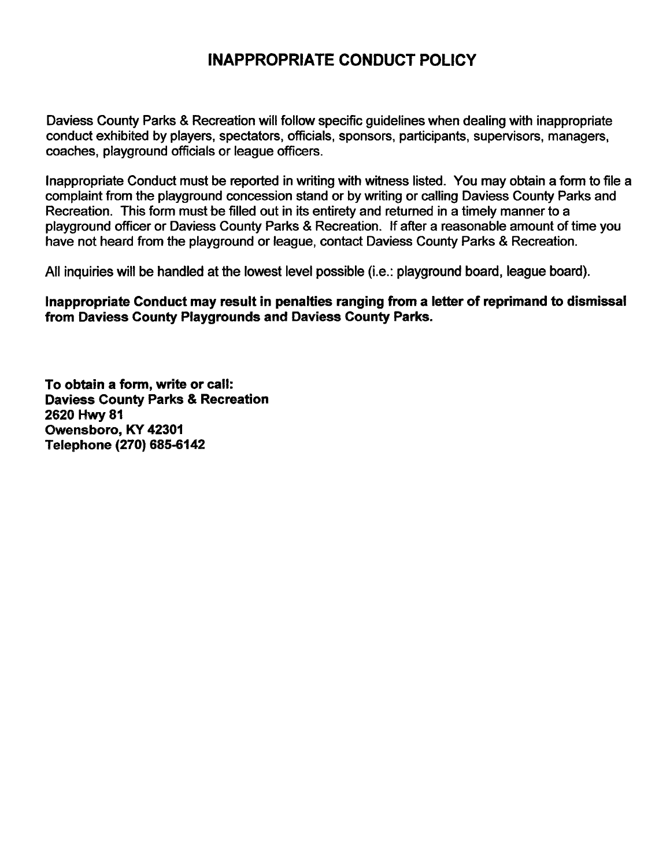## **INAPPROPRIATE CONDUCT POLICY**

Daviess County Parks & Recreation will follow specific guidelines when dealing with inappropriate conduct exhibited by players, spectators, officials, sponsors, participants, supervisors, managers, coaches, playground officials or league officers.

lnappropriate Conduct must be reported in writing with witness listed. You may obtain a form to file a complaint from the playground concession stand or by writing or calling Daviess County Parks and Recreation. This form must be filled out in its entirety and returned in a timely manner to a playground officer or Daviess County Parks & Recreation. If after a reasonable amount of time you have not heard from the playground or league, contact Daviess County Parks & Recreation.

All inquiries will be handled at the lowest level possible (i.e.: playground board, league board).

**lnappropriate Conduct may result in penalties ranging from a letter of reprimand to dismissal from Daviess County Playgrounds and Daviess County Parks.** 

**To obtain a form, write or call: Daviess County Parks** & **Recreation 2620 Mwy 81 Qwensboro, KY 42301**  Telephone (270) 685-6142